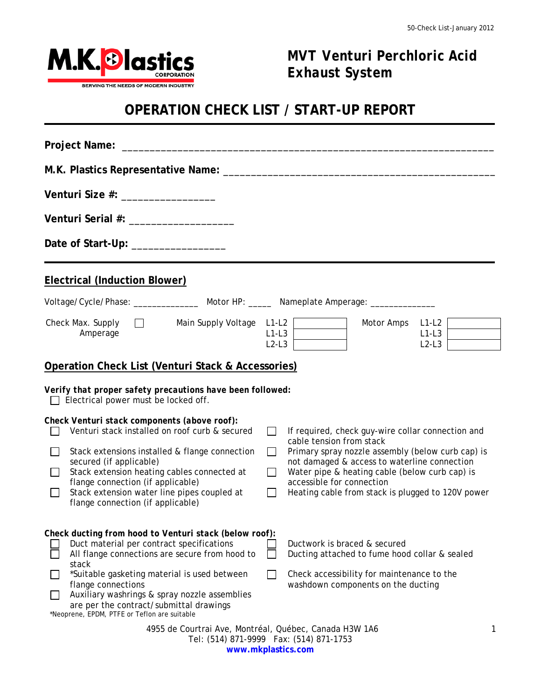

1

# *MVT Venturi Perchloric Acid Exhaust System*

## **OPERATION CHECK LIST / START-UP REPORT**

| Venturi Size #: __________________                                                                                                                                                                                                                                                                                                                                                                            |                                                                                                                                                                                                                                                                                                                                                                |  |  |  |  |  |  |
|---------------------------------------------------------------------------------------------------------------------------------------------------------------------------------------------------------------------------------------------------------------------------------------------------------------------------------------------------------------------------------------------------------------|----------------------------------------------------------------------------------------------------------------------------------------------------------------------------------------------------------------------------------------------------------------------------------------------------------------------------------------------------------------|--|--|--|--|--|--|
| Venturi Serial #: _______________________                                                                                                                                                                                                                                                                                                                                                                     |                                                                                                                                                                                                                                                                                                                                                                |  |  |  |  |  |  |
| Date of Start-Up: ___________________                                                                                                                                                                                                                                                                                                                                                                         |                                                                                                                                                                                                                                                                                                                                                                |  |  |  |  |  |  |
| <b>Electrical (Induction Blower)</b>                                                                                                                                                                                                                                                                                                                                                                          |                                                                                                                                                                                                                                                                                                                                                                |  |  |  |  |  |  |
|                                                                                                                                                                                                                                                                                                                                                                                                               |                                                                                                                                                                                                                                                                                                                                                                |  |  |  |  |  |  |
| Check Max. Supply $\Box$<br>Main Supply Voltage L1-L2<br>Amperage                                                                                                                                                                                                                                                                                                                                             | Motor Amps<br>$L1-L2$<br>$L1-L3$<br>$L1-L3$<br>$L2-L3$<br>$L2-L3$                                                                                                                                                                                                                                                                                              |  |  |  |  |  |  |
| Operation Check List (Venturi Stack & Accessories)<br>Verify that proper safety precautions have been followed:                                                                                                                                                                                                                                                                                               |                                                                                                                                                                                                                                                                                                                                                                |  |  |  |  |  |  |
| $\Box$ Electrical power must be locked off.                                                                                                                                                                                                                                                                                                                                                                   |                                                                                                                                                                                                                                                                                                                                                                |  |  |  |  |  |  |
| Check Venturi stack components (above roof):<br>Venturi stack installed on roof curb & secured<br>$\mathbf{L}$<br>Stack extensions installed & flange connection<br>$\Box$<br>secured (if applicable)<br>Stack extension heating cables connected at<br>$\mathbf{L}$<br>flange connection (if applicable)<br>Stack extension water line pipes coupled at<br>$\mathbf{I}$<br>flange connection (if applicable) | If required, check guy-wire collar connection and<br>$\Box$<br>cable tension from stack<br>Primary spray nozzle assembly (below curb cap) is<br>$\Box$<br>not damaged & access to waterline connection<br>$\Box$<br>Water pipe & heating cable (below curb cap) is<br>accessible for connection<br>Heating cable from stack is plugged to 120V power<br>$\Box$ |  |  |  |  |  |  |
| Check ducting from hood to Venturi stack (below roof):<br>Duct material per contract specifications<br>All flange connections are secure from hood to<br>stack<br>*Suitable gasketing material is used between<br>flange connections<br>Auxiliary washrings & spray nozzle assemblies<br>are per the contract/submittal drawings<br>*Neoprene, EPDM, PTFE or Teflon are suitable                              | Ductwork is braced & secured<br>Ducting attached to fume hood collar & sealed<br>Check accessibility for maintenance to the<br>$\Box$<br>washdown components on the ducting                                                                                                                                                                                    |  |  |  |  |  |  |
| 4955 de Courtrai Ave, Montréal, Québec, Canada H3W 1A6<br>1<br>Tel: (514) 871-9999  Fax: (514) 871-1753                                                                                                                                                                                                                                                                                                       |                                                                                                                                                                                                                                                                                                                                                                |  |  |  |  |  |  |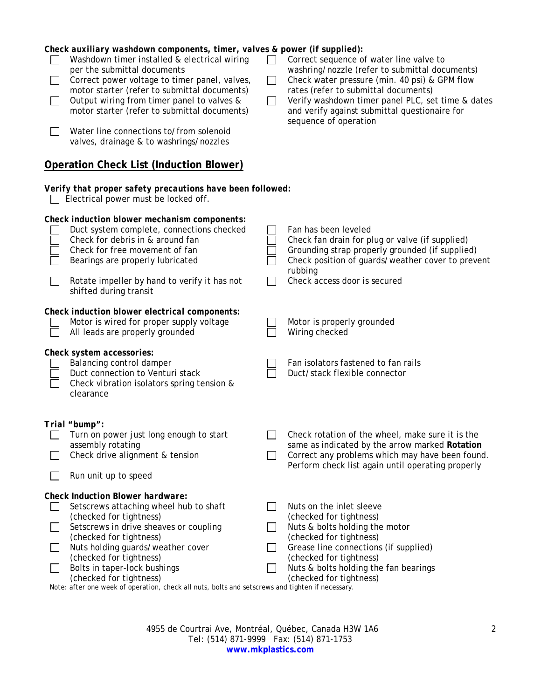| $\Box$<br>$\Box$                                                                                  | Check auxiliary washdown components, timer, valves & power (if supplied):<br>Washdown timer installed & electrical wiring<br>per the submittal documents<br>Correct power voltage to timer panel, valves,<br>motor starter (refer to submittal documents)<br>Output wiring from timer panel to valves &<br>motor starter (refer to submittal documents)<br>Water line connections to/from solenoid<br>valves, drainage & to washrings/nozzles | $\perp$<br>$\Box$ | Correct sequence of water line valve to<br>washring/nozzle (refer to submittal documents)<br>Check water pressure (min. 40 psi) & GPM flow<br>rates (refer to submittal documents)<br>Verify washdown timer panel PLC, set time & dates<br>and verify against submittal questionaire for<br>sequence of operation |  |  |  |
|---------------------------------------------------------------------------------------------------|-----------------------------------------------------------------------------------------------------------------------------------------------------------------------------------------------------------------------------------------------------------------------------------------------------------------------------------------------------------------------------------------------------------------------------------------------|-------------------|-------------------------------------------------------------------------------------------------------------------------------------------------------------------------------------------------------------------------------------------------------------------------------------------------------------------|--|--|--|
|                                                                                                   | <b>Operation Check List (Induction Blower)</b>                                                                                                                                                                                                                                                                                                                                                                                                |                   |                                                                                                                                                                                                                                                                                                                   |  |  |  |
| Verify that proper safety precautions have been followed:<br>Electrical power must be locked off. |                                                                                                                                                                                                                                                                                                                                                                                                                                               |                   |                                                                                                                                                                                                                                                                                                                   |  |  |  |
| $\mathbf{I}$                                                                                      | Check induction blower mechanism components:<br>Duct system complete, connections checked<br>Check for debris in & around fan<br>Check for free movement of fan<br>Bearings are properly lubricated<br>Rotate impeller by hand to verify it has not<br>shifted during transit                                                                                                                                                                 |                   | Fan has been leveled<br>Check fan drain for plug or valve (if supplied)<br>Grounding strap properly grounded (if supplied)<br>Check position of guards/weather cover to prevent<br>rubbing<br>Check access door is secured                                                                                        |  |  |  |
|                                                                                                   | Check induction blower electrical components:<br>Motor is wired for proper supply voltage<br>All leads are properly grounded                                                                                                                                                                                                                                                                                                                  |                   | Motor is properly grounded<br>Wiring checked                                                                                                                                                                                                                                                                      |  |  |  |
|                                                                                                   | Check system accessories:<br>Balancing control damper<br>Duct connection to Venturi stack<br>Check vibration isolators spring tension &<br>clearance                                                                                                                                                                                                                                                                                          |                   | Fan isolators fastened to fan rails<br>Duct/stack flexible connector                                                                                                                                                                                                                                              |  |  |  |
|                                                                                                   | Trial "bump":<br>Turn on power just long enough to start<br>assembly rotating<br>Check drive alignment & tension<br>Run unit up to speed                                                                                                                                                                                                                                                                                                      |                   | Check rotation of the wheel, make sure it is the<br>same as indicated by the arrow marked Rotation<br>Correct any problems which may have been found.<br>Perform check list again until operating properly                                                                                                        |  |  |  |
| $\Box$<br>$\Box$<br>$\perp$                                                                       | <b>Check Induction Blower hardware:</b><br>Setscrews attaching wheel hub to shaft<br>(checked for tightness)<br>Setscrews in drive sheaves or coupling<br>(checked for tightness)<br>Nuts holding guards/weather cover<br>(checked for tightness)<br>Bolts in taper-lock bushings<br>(checked for tightness)<br>Note: after one week of operation, check all nuts, bolts and setscrews and tighten if necessary.                              | $\blacksquare$    | Nuts on the inlet sleeve<br>(checked for tightness)<br>Nuts & bolts holding the motor<br>(checked for tightness)<br>Grease line connections (if supplied)<br>(checked for tightness)<br>Nuts & bolts holding the fan bearings<br>(checked for tightness)                                                          |  |  |  |

4955 de Courtrai Ave, Montréal, Québec, Canada H3W 1A6 Tel: (514) 871-9999 Fax: (514) 871-1753 **www.mkplastics.com**